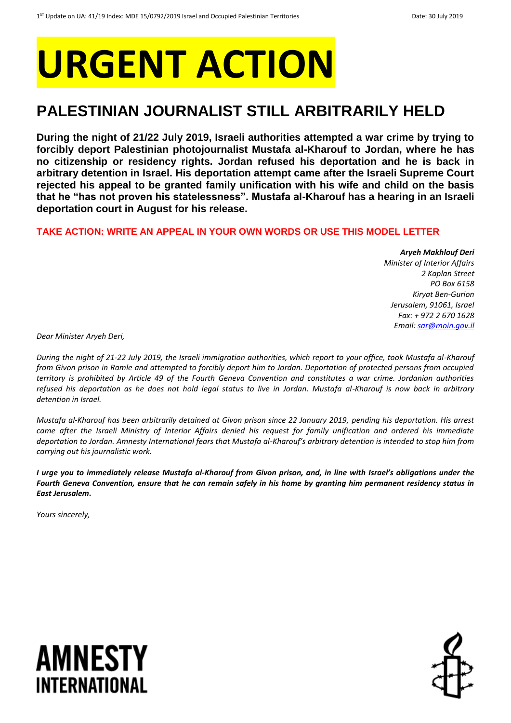# **URGENT ACTION**

## **PALESTINIAN JOURNALIST STILL ARBITRARILY HELD**

**During the night of 21/22 July 2019, Israeli authorities attempted a war crime by trying to forcibly deport Palestinian photojournalist Mustafa al-Kharouf to Jordan, where he has no citizenship or residency rights. Jordan refused his deportation and he is back in arbitrary detention in Israel. His deportation attempt came after the Israeli Supreme Court rejected his appeal to be granted family unification with his wife and child on the basis that he "has not proven his statelessness". Mustafa al-Kharouf has a hearing in an Israeli deportation court in August for his release.**

#### **TAKE ACTION: WRITE AN APPEAL IN YOUR OWN WORDS OR USE THIS MODEL LETTER**

*Aryeh Makhlouf Deri Minister of Interior Affairs 2 Kaplan Street PO Box 6158 Kiryat Ben-Gurion Jerusalem, 91061, Israel Fax: + 972 2 670 1628 Email[: sar@moin.gov.il](mailto:sar@moin.gov.il)*

*Dear Minister Aryeh Deri,*

*During the night of 21-22 July 2019, the Israeli immigration authorities, which report to your office, took Mustafa al-Kharouf from Givon prison in Ramle and attempted to forcibly deport him to Jordan. Deportation of protected persons from occupied territory is prohibited by Article 49 of the Fourth Geneva Convention and constitutes a war crime. Jordanian authorities refused his deportation as he does not hold legal status to live in Jordan. Mustafa al-Kharouf is now back in arbitrary detention in Israel.* 

*Mustafa al-Kharouf has been arbitrarily detained at Givon prison since 22 January 2019, pending his deportation. His arrest came after the Israeli Ministry of Interior Affairs denied his request for family unification and ordered his immediate deportation to Jordan. Amnesty International fears that Mustafa al-Kharouf's arbitrary detention is intended to stop him from carrying out his journalistic work.* 

*I urge you to immediately release Mustafa al-Kharouf from Givon prison, and, in line with Israel's obligations under the Fourth Geneva Convention, ensure that he can remain safely in his home by granting him permanent residency status in East Jerusalem.*

*Yours sincerely,*



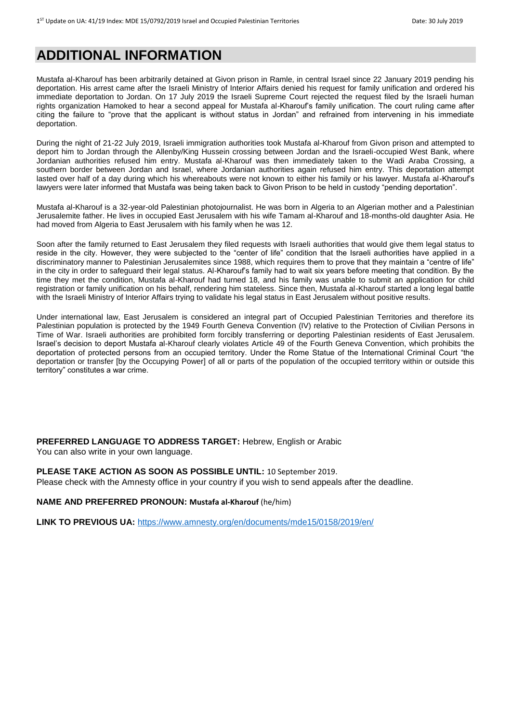### **ADDITIONAL INFORMATION**

Mustafa al-Kharouf has been arbitrarily detained at Givon prison in Ramle, in central Israel since 22 January 2019 pending his deportation. His arrest came after the Israeli Ministry of Interior Affairs denied his request for family unification and ordered his immediate deportation to Jordan. On 17 July 2019 the Israeli Supreme Court rejected the request filed by the Israeli human rights organization Hamoked to hear a second appeal for Mustafa al-Kharouf's family unification. The court ruling came after citing the failure to "prove that the applicant is without status in Jordan" and refrained from intervening in his immediate deportation.

During the night of 21-22 July 2019, Israeli immigration authorities took Mustafa al-Kharouf from Givon prison and attempted to deport him to Jordan through the Allenby/King Hussein crossing between Jordan and the Israeli-occupied West Bank, where Jordanian authorities refused him entry. Mustafa al-Kharouf was then immediately taken to the Wadi Araba Crossing, a southern border between Jordan and Israel, where Jordanian authorities again refused him entry. This deportation attempt lasted over half of a day during which his whereabouts were not known to either his family or his lawyer. Mustafa al-Kharouf's lawyers were later informed that Mustafa was being taken back to Givon Prison to be held in custody "pending deportation".

Mustafa al-Kharouf is a 32-year-old Palestinian photojournalist. He was born in Algeria to an Algerian mother and a Palestinian Jerusalemite father. He lives in occupied East Jerusalem with his wife Tamam al-Kharouf and 18-months-old daughter Asia. He had moved from Algeria to East Jerusalem with his family when he was 12.

Soon after the family returned to East Jerusalem they filed requests with Israeli authorities that would give them legal status to reside in the city. However, they were subjected to the "center of life" condition that the Israeli authorities have applied in a discriminatory manner to Palestinian Jerusalemites since 1988, which requires them to prove that they maintain a "centre of life" in the city in order to safeguard their legal status. Al-Kharouf's family had to wait six years before meeting that condition. By the time they met the condition, Mustafa al-Kharouf had turned 18, and his family was unable to submit an application for child registration or family unification on his behalf, rendering him stateless. Since then, Mustafa al-Kharouf started a long legal battle with the Israeli Ministry of Interior Affairs trying to validate his legal status in East Jerusalem without positive results.

Under international law, East Jerusalem is considered an integral part of Occupied Palestinian Territories and therefore its Palestinian population is protected by the 1949 Fourth Geneva Convention (IV) relative to the Protection of Civilian Persons in Time of War. Israeli authorities are prohibited form forcibly transferring or deporting Palestinian residents of East Jerusalem. Israel's decision to deport Mustafa al-Kharouf clearly violates Article 49 of the Fourth Geneva Convention, which prohibits the deportation of protected persons from an occupied territory. Under the Rome Statue of the International Criminal Court "the deportation or transfer [by the Occupying Power] of all or parts of the population of the occupied territory within or outside this territory" constitutes a war crime.

**PREFERRED LANGUAGE TO ADDRESS TARGET:** Hebrew, English or Arabic You can also write in your own language.

**PLEASE TAKE ACTION AS SOON AS POSSIBLE UNTIL:** 10 September 2019.

Please check with the Amnesty office in your country if you wish to send appeals after the deadline.

**NAME AND PREFERRED PRONOUN: Mustafa al-Kharouf** (he/him)

**LINK TO PREVIOUS UA:** <https://www.amnesty.org/en/documents/mde15/0158/2019/en/>